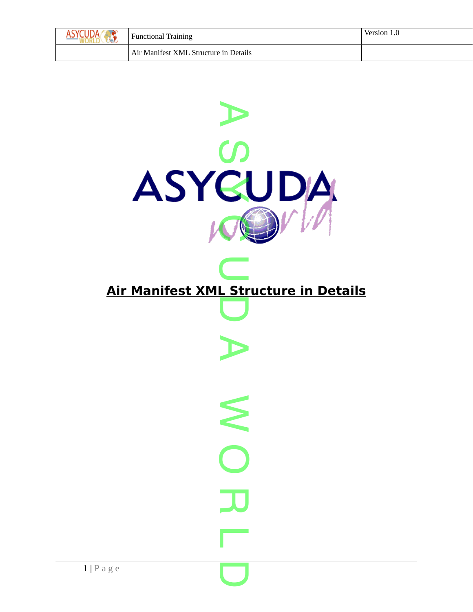| Ш | <b>Functional Training</b>            | Version 1.0 |
|---|---------------------------------------|-------------|
|   | Air Manifest XML Structure in Details |             |

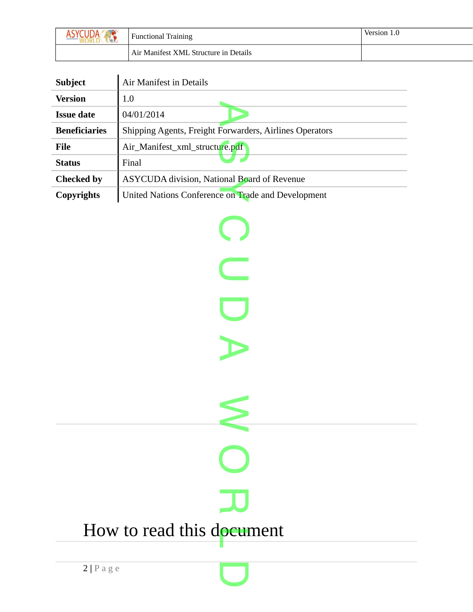| JД | <b>Functional Training</b>            | Version 1.0 |
|----|---------------------------------------|-------------|
|    | Air Manifest XML Structure in Details |             |

| <b>Subject</b>       | Air Manifest in Details                                 |  |
|----------------------|---------------------------------------------------------|--|
| <b>Version</b>       | 1.0                                                     |  |
| <b>Issue date</b>    | 04/01/2014                                              |  |
| <b>Beneficiaries</b> | Shipping Agents, Freight Forwarders, Airlines Operators |  |
| File                 | Air_Manifest_xml_structure.pdf                          |  |
| <b>Status</b>        | Final                                                   |  |
| <b>Checked by</b>    | ASYCUDA division, National Board of Revenue             |  |
| Copyrights           | United Nations Conference on Trade and Development      |  |

 $\bigcirc$ 

**C** 

 $\overline{\mathbf{C}}$ 

A

 $\leq$ 

O

 $\overline{\mathbf{L}}$ 

 $\overline{\mathbf{C}}$ 

How to read this d<mark>ocum</mark>ent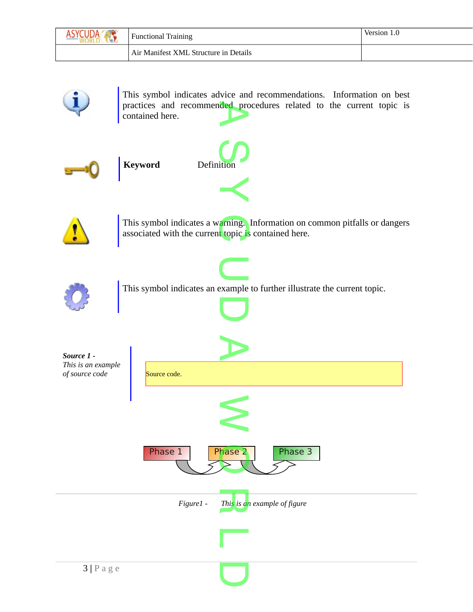| $V = V$ | <b>Functional Training</b>            | Version 1.0 |
|---------|---------------------------------------|-------------|
|         | Air Manifest XML Structure in Details |             |



This symbol indicates advice and recommendations. Information on best practices and recommended procedures related to the current topic is contained here. contained here.





This symbol indicates a warning. Information on common pitfalls or dangers<br>associated with the current topic is contained here. associated with the current topic is contained here.



This symbol indicates an example to further illustrate the current topic.

**C** 

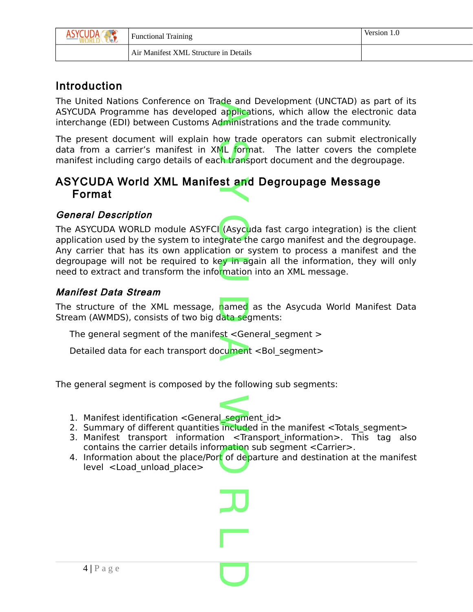| л ( | <b>Functional Training</b>            | Version 1.0 |
|-----|---------------------------------------|-------------|
|     | Air Manifest XML Structure in Details |             |

# Introduction

The United Nations Conference on Trade and Development (UNCTAD) as part of its ASYCUDA Programme has developed applications, which allow the electronic data interchange (EDI) between Customs Administrations and the trade community. de and<br>applica<br>dminist

The present document will explain how trade operators can submit electronically data from a carrier's manifest in XML format. The latter covers the complete manifest including cargo details of each transport document and the degroupage. ow trac<br>ML forn<br>:h trans

# ASYCUDA World XML Manifest and Degroupage Message<br>Format Format

## General Description

The ASYCUDA WORLD module ASYFCI (Asyc<mark>u</mark>da fast cargo integration) is the client application used by the system to integrate the cargo manifest and the degroupage. Any carrier that has its own application or system to process a manifest and the degroupage will not be required to key in again all the information, they will only<br>need to extract and transform the infor<mark>mation into an XML message.</mark> need to extract and transform the information into an XML message. (Asycu

## Manifest Data Stream

The structure of the XML message, named as the Asycuda World Manifest Data Stream (AWMDS), consists of two big data segments: named<br>lata seg

The general segment of the manifest <General\_segment >

The general segment of the mannest Soeneral\_segment ><br>Detailed data for each transport document <Bol\_segment>

The general segment is composed by the following sub segments:

- 1. Manifest identification <General\_segment\_id> segmen<br>included
- 2. Summary of different quantities included in the manifest <Totals segment>
- 3. Manifest transport information <Transport information>. This tag also contains the carrier details information sub segment <Carrier>.
- 4. Information about the place/Port of departure and destination at the manifest level <Load unload place> mation<br><mark>t</mark> of de<mark>p</mark>

 $\overline{\mathbf{L}}$ 

L

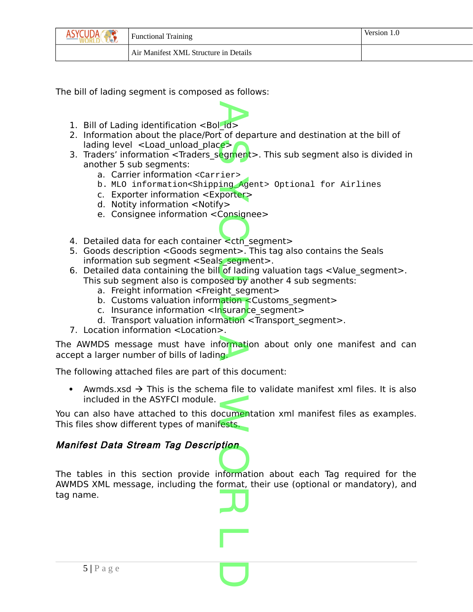| SYCUDA | <b>Functional Training</b>            | Version. |
|--------|---------------------------------------|----------|
|        | Air Manifest XML Structure in Details |          |

The bill of lading segment is composed as follows:

- 1. Bill of Lading identification <Bol\_id>
- 2. Information about the place/Port of departure and destination at the bill of lading level  $\le$  Load unload place>
- lading level <Load\_unload\_place><br>3. Traders' information <Traders\_segment>. This sub segment also is divided in another 5 sub segments:
	- a. Carrier information <Carrier>
	- a. Carner micromation court LCTV<br>b. MLO information<Shipping\_Agent> Optional for Airlines<br>C. Exporter information <Exporter>
	- c. Exporter information <Exporter>
	- d. Notity information <Notify>
	- e. Consignee information <Consignee>
- e. Consignee information <consignee><br>4. Detailed data for each container <ctn\_segment>
- 5. Goods description <Goods segment>. This tag also contains the Seals
- information sub segment <Seals\_segment>.<br>Detailed data containing the bill of lading val<br>This sub segment also is sempered by anoth 6. Detailed data containing the bill of lading valuation tags  $\leq$  Value segment  $\geq$ . This sub segment also is composed by another 4 sub segments:
	- a. Freight information <Freight segment>
	- b. Customs valuation information <Customs segment>
	- c. Insurance information <Insurance\_segment> ation<br>Isurand<br>Pation
	- d. Transport valuation information <Transport segment>.
- 7. Location information <Location>.

The AWMDS message must have information about only one manifest and can accept a larger number of bills of lading. ormati<br>g

The following attached files are part of this document:

Awmds.xsd  $\rightarrow$  This is the schema file to validate manifest xml files. It is also included in the ASYFCI module.

You can also have attached to this documentation xml manifest files as examples. This files show different types of manifests. cumenta<br>ests.

## Manifest Data Stream Tag Description

Manifiest Data Stream Tag Description<br>The tables in this section provide information about each Tag required for the AWMDS XML message, including the format, their use (optional or mandatory), and tag name. **JU** 

L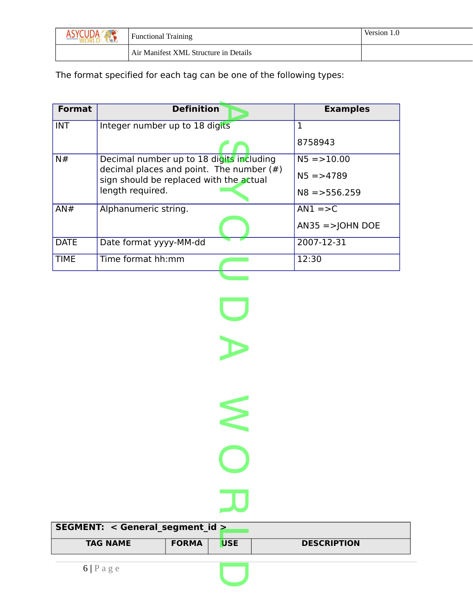| <b>Functional Training</b>            | Version 1.0 |
|---------------------------------------|-------------|
| Air Manifest XML Structure in Details |             |

The format specified for each tag can be one of the following types:

| <b>Format</b> | <b>Definition</b>                                                                      | <b>Examples</b>     |
|---------------|----------------------------------------------------------------------------------------|---------------------|
| <b>INT</b>    | Integer number up to 18 digits                                                         |                     |
|               |                                                                                        | 8758943             |
| N#            | Decimal number up to 18 digits including                                               | $N5 = 10.00$        |
|               | decimal places and point. The number $(\#)$<br>sign should be replaced with the actual | $N5 = > 4789$       |
|               | length required.                                                                       | $N8 = 556.259$      |
| AN#           | Alphanumeric string.                                                                   | $AN1 = >C$          |
|               |                                                                                        | $ANS5 = >$ JOHN DOE |
| <b>DATE</b>   | Date format yyyy-MM-dd                                                                 | 2007-12-31          |
| <b>TIME</b>   | Time format hh:mm                                                                      | 12:30               |
|               |                                                                                        |                     |

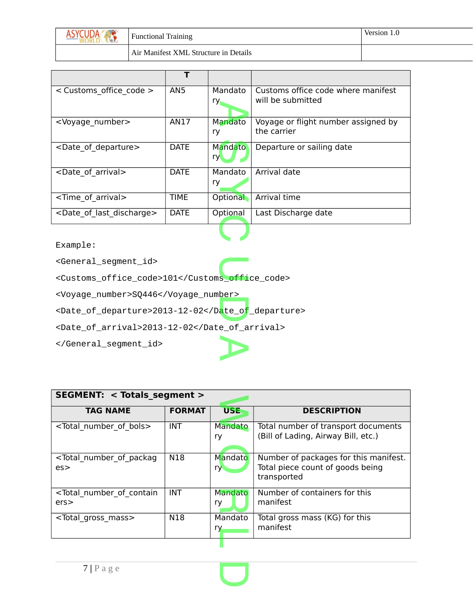| IDA<br>$\sqrt{10}$ | <b>Functional Training</b>            | Version 1.0 |
|--------------------|---------------------------------------|-------------|
|                    | Air Manifest XML Structure in Details |             |

| < Customs office code >                  | AN <sub>5</sub> | Mandato<br>ry. | Customs office code where manifest<br>will be submitted |
|------------------------------------------|-----------------|----------------|---------------------------------------------------------|
| <voyage number=""></voyage>              | AN17            | Mandato<br>ry  | Voyage or flight number assigned by<br>the carrier      |
| <date departure="" of=""></date>         | <b>DATE</b>     | Mandato<br>ry. | Departure or sailing date                               |
| <date arrival="" of=""></date>           | DATE            | Mandato<br>ry  | Arrival date                                            |
| <time arrival="" of=""></time>           | <b>TIME</b>     | Optional       | <b>Arrival time</b>                                     |
| <date discharge="" last="" of=""></date> | DATE            | Optional       | Last Discharge date                                     |
|                                          |                 |                |                                                         |

<General\_segment\_id>

<General\_segment\_id><br><Customs\_office\_code>101</Customs**\_offi**ce\_code>

<Voyage\_number>SQ446</Voyage\_number>

<Date\_of\_departure>2013-12-02</Date\_of\_departure> D

<Date\_of\_arrival>2013-12-02</Date\_of\_arrival>

</General\_segment\_id>

| <b>SEGMENT: &lt; Totals segment &gt;</b>         |               |                |                                                                                          |  |  |
|--------------------------------------------------|---------------|----------------|------------------------------------------------------------------------------------------|--|--|
| <b>TAG NAME</b>                                  | <b>FORMAT</b> | <b>USE</b>     | <b>DESCRIPTION</b>                                                                       |  |  |
| <total bols="" number="" of=""></total>          | <b>INT</b>    | Mandato<br>ry  | Total number of transport documents<br>(Bill of Lading, Airway Bill, etc.)               |  |  |
| <total number="" of="" packag<br="">es</total>   | N18           | Mandato<br>ry. | Number of packages for this manifest.<br>Total piece count of goods being<br>transported |  |  |
| <total contain<br="" number="" of="">ers</total> | <b>INT</b>    | Mandato<br>ry  | Number of containers for this<br>manifest                                                |  |  |
| <total gross="" mass=""></total>                 | N18           | Mandato<br>ry  | Total gross mass (KG) for this<br>manifest                                               |  |  |

 $\overline{\mathbf{C}}$ 

A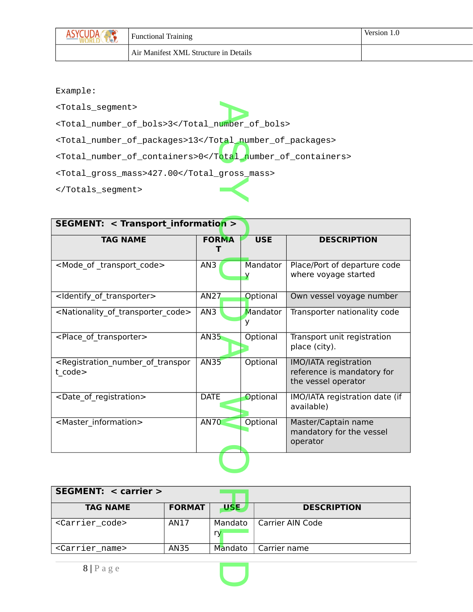| $\mathbf{w}$ | <b>Functional Training</b>            | Version 1.0 |
|--------------|---------------------------------------|-------------|
|              | Air Manifest XML Structure in Details |             |

<Totals\_segment>

<Totals\_segment><br><Total\_number\_of\_bols>3</Total\_number\_of\_bols>

<Total\_number\_of\_packages>13</Total\_number\_of\_packages>

<Total\_number\_or\_packages>13</Total\_number\_or\_packages><br><Total\_number\_of\_containers>0</T<mark>otal\_n</mark>umber\_of\_containers>

<Total\_gross\_mass>427.00</Total\_gross\_mass>  $\prec$ 

</Totals\_segment>

| <b>SEGMENT: &lt; Transport information &gt;</b>                                     |              |               |                                                                            |  |  |  |
|-------------------------------------------------------------------------------------|--------------|---------------|----------------------------------------------------------------------------|--|--|--|
| <b>TAG NAME</b>                                                                     | <b>FORMA</b> | <b>USE</b>    | <b>DESCRIPTION</b>                                                         |  |  |  |
| <mode code="" of="" transport=""></mode>                                            | AN3          | Mandator<br>У | Place/Port of departure code<br>where voyage started                       |  |  |  |
| <ldentify_of_transporter></ldentify_of_transporter>                                 | AN27         | Optional      | Own vessel voyage number                                                   |  |  |  |
| <nationality code="" of="" transporter=""></nationality>                            | AN3          | Mandator<br>۷ | Transporter nationality code                                               |  |  |  |
| <place of="" transporter=""></place>                                                | <b>AN35</b>  | Optional      | Transport unit registration<br>place (city).                               |  |  |  |
| <registration_number_of_transpor<br>t code&gt;</registration_number_of_transpor<br> | <b>AN35</b>  | Optional      | IMO/IATA registration<br>reference is mandatory for<br>the vessel operator |  |  |  |
| <date of="" registration=""></date>                                                 | <b>DATE</b>  | Optional      | IMO/IATA registration date (if<br>available)                               |  |  |  |
| <master information=""></master>                                                    | <b>AN70</b>  | Optional      | Master/Captain name<br>mandatory for the vessel<br>operator                |  |  |  |
|                                                                                     |              |               |                                                                            |  |  |  |

| SEGMENT: < carrier >          |               |               |                    |
|-------------------------------|---------------|---------------|--------------------|
| <b>TAG NAME</b>               | <b>FORMAT</b> | <b>USE</b>    | <b>DESCRIPTION</b> |
| <carrier_code></carrier_code> | AN17          | Mandato<br>ry | Carrier AIN Code   |
| <carrier_name></carrier_name> | AN35          | Mandato       | Carrier name       |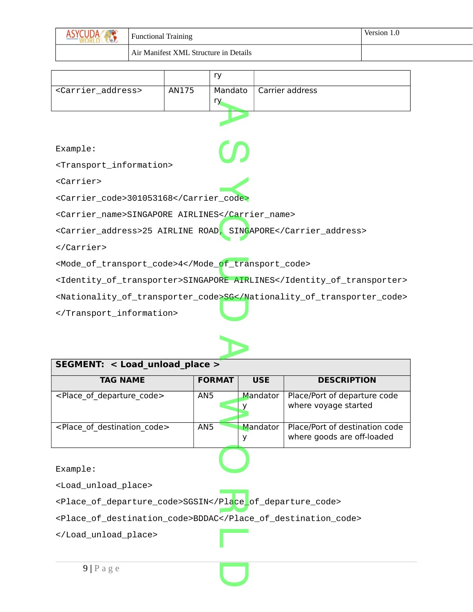|                                       | <b>Functional Training</b> | Version 1.0 |
|---------------------------------------|----------------------------|-------------|
| Air Manifest XML Structure in Details |                            |             |

|                                                                       |       | ry      |                 |  |
|-----------------------------------------------------------------------|-------|---------|-----------------|--|
| <carrier_address></carrier_address>                                   | AN175 | Mandato | Carrier address |  |
|                                                                       |       | ry.     |                 |  |
|                                                                       |       |         |                 |  |
|                                                                       |       |         |                 |  |
| Example:                                                              |       |         |                 |  |
| <transport_information></transport_information>                       |       |         |                 |  |
| $<$ Carrier $>$                                                       |       |         |                 |  |
| <carrier_code>301053168</carrier_code>                                |       |         |                 |  |
| <carrier_name>SINGAPORE AIRLINES</carrier_name>                       |       |         |                 |  |
| <carrier_address>25 AIRLINE ROAD, SINGAPORE</carrier_address>         |       |         |                 |  |
|                                                                       |       |         |                 |  |
| <mode_of_transport_code>4</mode_of_transport_code>                    |       |         |                 |  |
| <identity_of_transporter>SINGAPORE AIRLINES</identity_of_transporter> |       |         |                 |  |
| <nationality_of_transporter_code>SG</nationality_of_transporter_code> |       |         |                 |  |
|                                                                       |       |         |                 |  |



| SEGMENT: < Load unload place >               |                 |               |                                                              |  |  |  |
|----------------------------------------------|-----------------|---------------|--------------------------------------------------------------|--|--|--|
| <b>TAG NAME</b>                              | <b>FORMAT</b>   | <b>USE</b>    | <b>DESCRIPTION</b>                                           |  |  |  |
| <place code="" departure="" of=""></place>   | AN <sub>5</sub> | Mandator      | Place/Port of departure code<br>where voyage started         |  |  |  |
| <place code="" destination="" of=""></place> | AN <sub>5</sub> | Mandator<br>у | Place/Port of destination code<br>where goods are off-loaded |  |  |  |
| Example:                                     |                 |               |                                                              |  |  |  |

<Load\_unload\_place>

<Place\_of\_departure\_code>SGSIN</Place\_of\_departure\_code> Place

<Place\_of\_destination\_code>BDDAC</Place\_of\_destination\_code>

L

 $\overline{\mathbf{C}}$ 

</Load\_unload\_place>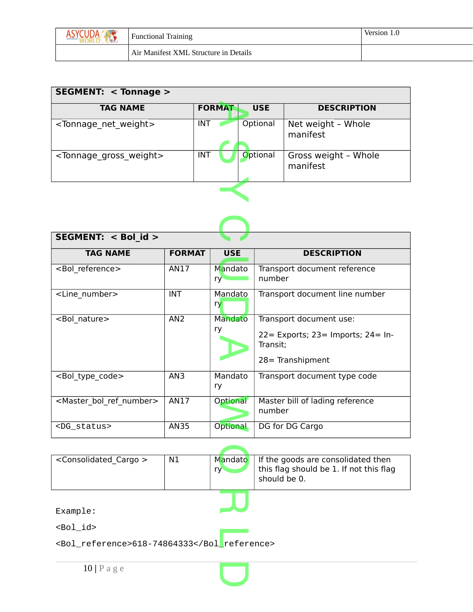|  | <b>Functional Training</b>            | Version 1.0 |
|--|---------------------------------------|-------------|
|  | Air Manifest XML Structure in Details |             |

| SEGMENT: $<$ Tonnage $>$               |                             |                                  |  |  |  |
|----------------------------------------|-----------------------------|----------------------------------|--|--|--|
| <b>TAG NAME</b>                        | <b>FORMAT</b><br><b>USE</b> | <b>DESCRIPTION</b>               |  |  |  |
| <tonnage net="" weight=""></tonnage>   | Optional<br>INT             | Net weight - Whole<br>manifest   |  |  |  |
| <tonnage gross="" weight=""></tonnage> | Optional<br><b>INT</b>      | Gross weight - Whole<br>manifest |  |  |  |
|                                        |                             |                                  |  |  |  |

| SEGMENT: < Bol id >                       |                 |                 |                                                                                                        |
|-------------------------------------------|-----------------|-----------------|--------------------------------------------------------------------------------------------------------|
| <b>TAG NAME</b>                           | <b>FORMAT</b>   | <b>USE</b>      | <b>DESCRIPTION</b>                                                                                     |
| <bol reference=""></bol>                  | AN17            | Mandato<br>ry   | Transport document reference<br>number                                                                 |
| <line number=""></line>                   | <b>INT</b>      | Mandato<br>ry   | Transport document line number                                                                         |
| <bol nature=""></bol>                     | AN <sub>2</sub> | Mandato<br>ry   | Transport document use:<br>$22 =$ Exports; $23 =$ Imports; $24 =$ In-<br>Transit;<br>28 = Transhipment |
| <bol code="" type=""></bol>               | AN3             | Mandato<br>ry   | Transport document type code                                                                           |
| <master bol="" number="" ref=""></master> | AN17            | Optional        | Master bill of lading reference<br>number                                                              |
| <dg_status></dg_status>                   | <b>AN35</b>     | <b>Optional</b> | DG for DG Cargo                                                                                        |

| <consolidated cargo=""></consolidated>      | N1 | Mandato<br>ry <sup>-</sup> | If the goods are consolidated then<br>this flag should be 1. If not this flag<br>should be 0. |  |
|---------------------------------------------|----|----------------------------|-----------------------------------------------------------------------------------------------|--|
|                                             |    |                            |                                                                                               |  |
| Example:                                    |    |                            |                                                                                               |  |
| $<$ Bo $1$ id $>$                           |    |                            |                                                                                               |  |
| <bol_reference>618-74864333</bol_reference> |    |                            |                                                                                               |  |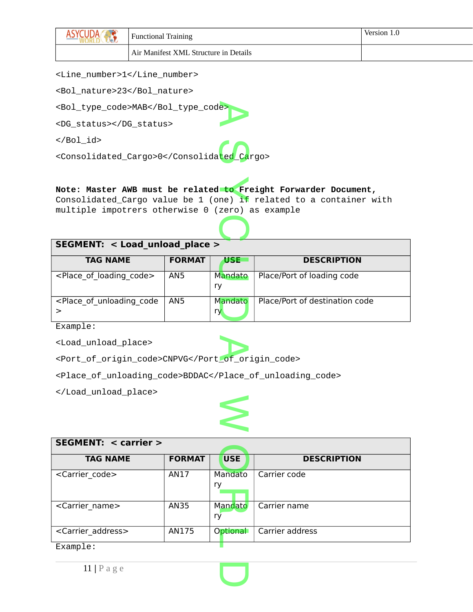| w                                     | <b>Functional Training</b> | Version 1.0 |
|---------------------------------------|----------------------------|-------------|
| Air Manifest XML Structure in Details |                            |             |

<Line\_number>1</Line\_number>

<Bol\_nature>23</Bol\_nature>

<Bol\_type\_code>MAB</Bol\_type\_code> e>

<DG\_status></DG\_status>

 $<$ /Bo $1$ \_id>

</B01\_10><br><Consolidated\_Cargo>0</Consolida<mark>ted\_Ca</mark>rgo>

# **Note: Master AWB must be related to Freight Forwarder Document,** to Fr<br>ne) if

Consolidated\_Cargo value be 1 (one) if related to a container with multiple impotrers otherwise 0 (zero) as example  $\mathbf{\Omega}$ 

#### **SEGMENT: < Load\_unload\_place >**

| <b>TAG NAME</b>                                                                                                                    | <b>FORMAT</b> | USE                  | <b>DESCRIPTION</b>             |
|------------------------------------------------------------------------------------------------------------------------------------|---------------|----------------------|--------------------------------|
| $\leq$ Place of loading code $\geq$                                                                                                | AN5           | Mandato<br>ry        | Place/Port of loading code     |
| <place code<="" of="" td="" unloading=""><td>AN5</td><td><b>Mandato</b><br/>ry</td><td>Place/Port of destination code</td></place> | AN5           | <b>Mandato</b><br>ry | Place/Port of destination code |

Example:

<Load\_unload\_place>

<Load\_unload\_place><br><Port\_of\_origin\_code>CNPVG</Port\_of\_origin\_code>

<Place\_of\_unloading\_code>BDDAC</Place\_of\_unloading\_code>

</Load\_unload\_place>



| <b>SEGMENT: &lt; carrier &gt;</b> |               |               |                    |
|-----------------------------------|---------------|---------------|--------------------|
| <b>TAG NAME</b>                   | <b>FORMAT</b> | <b>USE</b>    | <b>DESCRIPTION</b> |
| <carrier code=""></carrier>       | <b>AN17</b>   | Mandato<br>ry | Carrier code       |
| <carrier name=""></carrier>       | <b>AN35</b>   | Mandato<br>ry | Carrier name       |
| <carrier address=""></carrier>    | AN175         | Optional      | Carrier address    |
| Example:                          |               |               |                    |



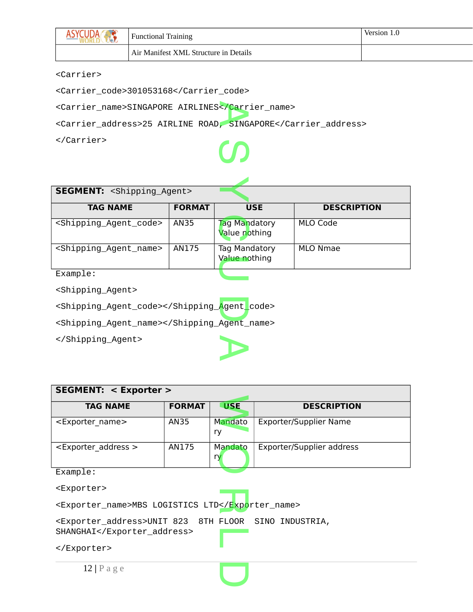| <b>Functional Training</b>            | Version 1.0 |
|---------------------------------------|-------------|
| Air Manifest XML Structure in Details |             |

#### <Carrier>

<Carrier\_code>301053168</Carrier\_code>

<Carrier\_name>SINGAPORE AIRLINES<<mark>/Carrier\_name></mark><br><Carrier address>25 AIRLINE ROAD*. S*INGAPORE</Ca

<Carrier\_address>25 AIRLINE ROAD, SINGAPORE</Carrier\_address>

</Carrier>

# $\mathcal{S}$

| <b>SEGMENT: <shipping_agent></shipping_agent></b> |               |                                |                    |  |  |
|---------------------------------------------------|---------------|--------------------------------|--------------------|--|--|
| <b>TAG NAME</b>                                   | <b>FORMAT</b> | <b>USE</b>                     | <b>DESCRIPTION</b> |  |  |
| <shipping_agent_code></shipping_agent_code>       | AN35          | Tag Mandatory<br>Value nothing | MLO Code           |  |  |
| <shipping_agent_name></shipping_agent_name>       | AN175         | Tag Mandatory<br>Value nothing | MLO Nmae           |  |  |
| Example:                                          |               |                                |                    |  |  |

<Shipping\_Agent>

<Shipping\_Agent\_code></Shipping\_Agent\_code> Agent

<Shipping\_Agent\_name></Shipping\_Agent\_name>

</Shipping\_Agent>

| SEGMENT: < Exporter >                 |               |               |                           |  |
|---------------------------------------|---------------|---------------|---------------------------|--|
| <b>TAG NAME</b>                       | <b>FORMAT</b> | <b>USE</b>    | <b>DESCRIPTION</b>        |  |
| <exporter name=""></exporter>         | AN35          | Mandato<br>ry | Exporter/Supplier Name    |  |
| <exporter_address></exporter_address> | AN175         | Mandato<br>ry | Exporter/Supplier address |  |
| Example:                              |               |               |                           |  |

 $\overline{\mathbf{C}}$ 

A

<Exporter>

<Exporter><br><Exporter\_name>MBS LOGISTICS LTD</E<mark>xpo</mark>rter\_name>

<Exporter\_address>UNIT 823 8TH FLOOR SINO INDUSTRIA, SHANGHAI</Exporter\_address> L

</Exporter>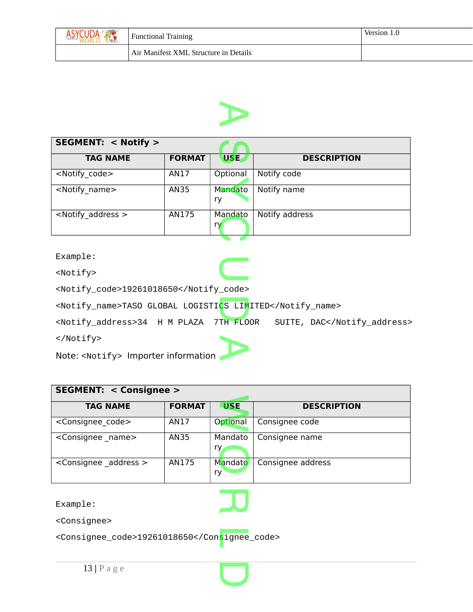| <b>Functional Training</b>            | Version 1.0 |
|---------------------------------------|-------------|
| Air Manifest XML Structure in Details |             |



| <b>SEGMENT: &lt; Notify &gt;</b> |               |               |                    |
|----------------------------------|---------------|---------------|--------------------|
| <b>TAG NAME</b>                  | <b>FORMAT</b> | USE,          | <b>DESCRIPTION</b> |
| <notify code=""></notify>        | AN17          | Optional      | Notify code        |
| <notify name=""></notify>        | AN35          | Mandato<br>ry | Notify name        |
| $\leq$ Notify address $>$        | AN175         | Mandato<br>ry | Notify address     |

<Notify>

```
<Notify_code>19261018650</Notify_code>
```
<Notify\_name>TASO GLOBAL LOGISTICS LIMITED</Notify\_name> CS LIM<br>TH FLO

<Notify\_address>34 H M PLAZA 7TH FLOOR SUITE, DAC</Notify\_address> </Notify> A

**C** 

Note: <Notify> Importer information

| <b>SEGMENT: &lt; Consignee &gt;</b> |               |               |                    |  |
|-------------------------------------|---------------|---------------|--------------------|--|
| <b>TAG NAME</b>                     | <b>FORMAT</b> | <b>USE</b>    | <b>DESCRIPTION</b> |  |
| <consignee code=""></consignee>     | AN17          | Optional      | Consignee code     |  |
| <consignee_name></consignee_name>   | <b>AN35</b>   | Mandato<br>ry | Consignee name     |  |
| <consignee address=""></consignee>  | AN175         | Mandato<br>ry | Consignee address  |  |
|                                     |               |               |                    |  |

R

 $\overline{\mathbf{C}}$ 

Example:

<Consignee>

<Consignee\_code>19261018650</Consignee\_code> L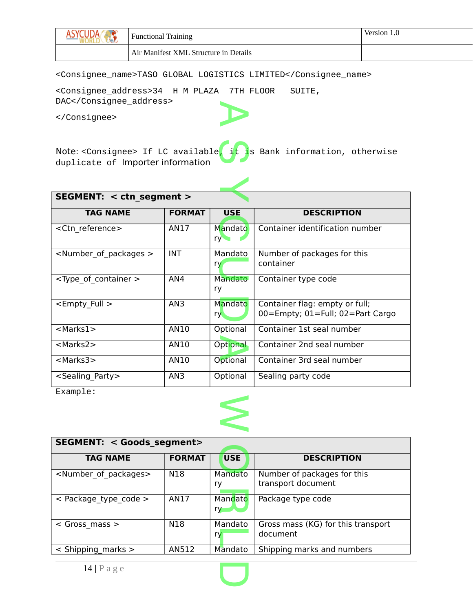| w | <b>Functional Training</b>            | Version 1.0 |
|---|---------------------------------------|-------------|
|   | Air Manifest XML Structure in Details |             |

<Consignee\_name>TASO GLOBAL LOGISTICS LIMITED</Consignee\_name>

<Consignee\_address>34 H M PLAZA 7TH FLOOR SUITE, DAC</Consignee\_address> A

</Consignee>

Note: <Consignee> If LC available, it is Bank information, otherwise duplicate of Importer information GO

| SEGMENT: < ctn segment >                |                 |                |                                                                    |  |  |
|-----------------------------------------|-----------------|----------------|--------------------------------------------------------------------|--|--|
| <b>TAG NAME</b>                         | <b>FORMAT</b>   | <b>USE</b>     | <b>DESCRIPTION</b>                                                 |  |  |
| <ctn reference=""></ctn>                | AN17            | Mandato<br>ry  | Container identification number                                    |  |  |
| <number of="" packages=""></number>     | <b>INT</b>      | Mandato<br>ry  | Number of packages for this<br>container                           |  |  |
| <type_of_container></type_of_container> | AN4             | Mandato<br>ry  | Container type code                                                |  |  |
| <empty full=""></empty>                 | AN <sub>3</sub> | Mandato<br>ry. | Container flag: empty or full;<br>00=Empty; 01=Full; 02=Part Cargo |  |  |
| $<$ Marks1 $>$                          | AN10            | Optional       | Container 1st seal number                                          |  |  |
| <marks2></marks2>                       | AN10            | Optional       | Container 2nd seal number                                          |  |  |
| <marks3></marks3>                       | AN10            | Optional       | Container 3rd seal number                                          |  |  |
| <sealing party=""></sealing>            | AN <sub>3</sub> | Optional       | Sealing party code                                                 |  |  |

Example:



| <b>SEGMENT: &lt; Goods segment&gt;</b> |               |               |                                                   |  |
|----------------------------------------|---------------|---------------|---------------------------------------------------|--|
| <b>TAG NAME</b>                        | <b>FORMAT</b> | <b>USE</b>    | <b>DESCRIPTION</b>                                |  |
| <number of="" packages=""></number>    | N18           | Mandato<br>ry | Number of packages for this<br>transport document |  |
| $<$ Package type code $>$              | AN17          | Mandato<br>ry | Package type code                                 |  |
| $<$ Gross mass $>$                     | N18           | Mandato<br>ry | Gross mass (KG) for this transport<br>document    |  |
| $\le$ Shipping marks $>$               | AN512         | Mandato       | Shipping marks and numbers                        |  |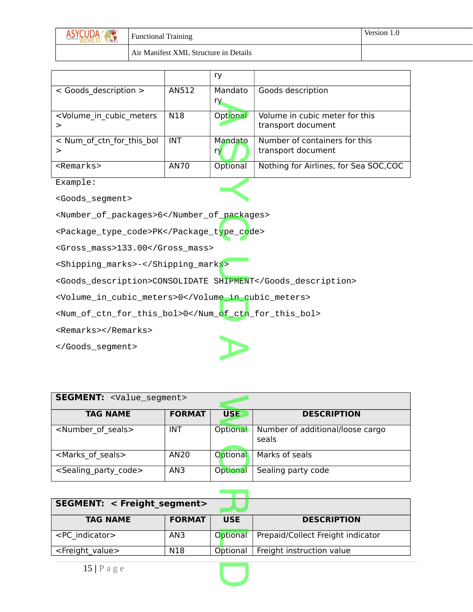| $\mathbf{v}$<br>$M \times N$ | <b>Functional Training</b>            | Version 1.0 |
|------------------------------|---------------------------------------|-------------|
|                              | Air Manifest XML Structure in Details |             |

|                                                                                                                       |       | ry       |                                        |
|-----------------------------------------------------------------------------------------------------------------------|-------|----------|----------------------------------------|
| < Goods description >                                                                                                 | AN512 | Mandato  | Goods description                      |
|                                                                                                                       |       | ry.      |                                        |
| <volume cubic="" in="" meters<="" td=""><td>N18</td><td>Optional</td><td>Volume in cubic meter for this</td></volume> | N18   | Optional | Volume in cubic meter for this         |
| >                                                                                                                     |       |          | transport document                     |
| < Num of ctn for this bol                                                                                             | INT.  | Mandato  | Number of containers for this          |
| >                                                                                                                     |       | ry       | transport document                     |
| $<$ Remarks>                                                                                                          | AN70  | Optional | Nothing for Airlines, for Sea SOC, COC |
| Example:                                                                                                              |       |          |                                        |
| <goods_seqment></goods_seqment>                                                                                       |       |          |                                        |

<Goods\_segment>

<Number\_of\_packages>6</Number\_of\_packages>

<number\_or\_packages>6</number\_or\_packages<br><Package\_type\_code>PK</Package\_t<mark>ype\_co</mark>de>

<Gross\_mass>133.00</Gross\_mass>

<Shipping\_marks>-</Shipping\_marks>

<Shipping\_marks>-</Shipping\_mark<mark>s></mark><br><Goods\_description>CONSOLIDATE SHIPMENT</Goods\_description>

<Volume\_in\_cubic\_meters>0</Volume\_in\_cubic\_meters>

<Volume\_in\_cubic\_meters>0</Volume\_in\_cubic\_meters><br><Num\_of\_ctn\_for\_this\_bol>0</Num\_o<mark>f\_ctn</mark>\_for\_this\_bol>

<Remarks></Remarks>

</Goods\_segment>

| <b>SEGMENT: <value_segment></value_segment></b> |               |            |                                           |  |
|-------------------------------------------------|---------------|------------|-------------------------------------------|--|
| <b>TAG NAME</b>                                 | <b>FORMAT</b> | <b>USE</b> | <b>DESCRIPTION</b>                        |  |
| <number of="" seals=""></number>                | <b>INT</b>    | Optional   | Number of additional/loose cargo<br>seals |  |
| <marks of="" seals=""></marks>                  | AN20          | Optional   | Marks of seals                            |  |
| <sealing_party_code></sealing_party_code>       | AN3           | Optional   | Sealing party code                        |  |

A

| <b>SEGMENT: &lt; Freight segment&gt;</b> |               |            |                                   |  |  |  |
|------------------------------------------|---------------|------------|-----------------------------------|--|--|--|
| <b>TAG NAME</b>                          | <b>FORMAT</b> | <b>USE</b> | <b>DESCRIPTION</b>                |  |  |  |
| <pc indicator=""></pc>                   | AN3           | Optional   | Prepaid/Collect Freight indicator |  |  |  |
| <freight value=""></freight>             | N18           | Optional   | Freight instruction value         |  |  |  |

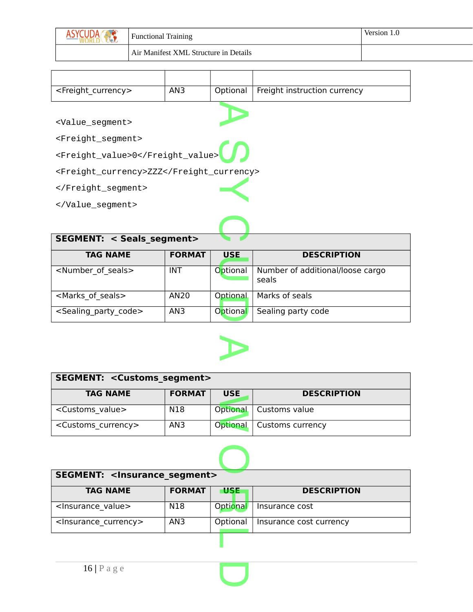| $\mathbf{v}$ | <b>Functional Training</b>            | Version |
|--------------|---------------------------------------|---------|
|              | Air Manifest XML Structure in Details |         |

| <freight currency=""></freight>          | AN3           | Optional   | Freight instruction currency     |  |  |  |  |
|------------------------------------------|---------------|------------|----------------------------------|--|--|--|--|
|                                          |               |            |                                  |  |  |  |  |
| <value_segment></value_segment>          |               |            |                                  |  |  |  |  |
| <freight_segment></freight_segment>      |               |            |                                  |  |  |  |  |
| <freight_value>0</freight_value>         |               |            |                                  |  |  |  |  |
| <freight_currency>ZZZ</freight_currency> |               |            |                                  |  |  |  |  |
|                                          |               |            |                                  |  |  |  |  |
|                                          |               |            |                                  |  |  |  |  |
|                                          |               |            |                                  |  |  |  |  |
| <b>SEGMENT: &lt; Seals segment&gt;</b>   |               |            |                                  |  |  |  |  |
| <b>TAG NAME</b>                          | <b>FORMAT</b> | <b>USE</b> | <b>DESCRIPTION</b>               |  |  |  |  |
| <number of="" seals=""></number>         | INT           | Optional   | Number of additional/loose cargo |  |  |  |  |

| IAG NAME                             | <b>FURMAI</b> | USE      | <b>DESCRIPTION</b>               |
|--------------------------------------|---------------|----------|----------------------------------|
| <number of="" seals=""></number>     | <b>INT</b>    | Optional | Number of additional/loose cargo |
|                                      |               |          | seals                            |
| <marks of="" seals=""></marks>       | AN20          | Optional | Marks of seals                   |
| <sealing code="" party=""></sealing> | AN3           | Optional | Sealing party code               |



| <b>SEGMENT: &lt; Customs segment&gt;</b> |               |                 |                          |  |  |
|------------------------------------------|---------------|-----------------|--------------------------|--|--|
| <b>TAG NAME</b>                          | <b>FORMAT</b> | <b>USE</b>      | <b>DESCRIPTION</b>       |  |  |
| <customs value=""></customs>             | N18           |                 | Optional   Customs value |  |  |
| <customs currency=""></customs>          | AN3           | <b>Optional</b> | Customs currency         |  |  |



| <b>SEGMENT: <insurance_segment></insurance_segment></b> |               |            |  |                         |  |  |
|---------------------------------------------------------|---------------|------------|--|-------------------------|--|--|
| <b>TAG NAME</b>                                         | <b>FORMAT</b> | <b>USE</b> |  | <b>DESCRIPTION</b>      |  |  |
| <lnsurance value=""></lnsurance>                        | N18           | Optional   |  | Insurance cost          |  |  |
| <lnsurance currency=""></lnsurance>                     | AN3           | Optional   |  | Insurance cost currency |  |  |
|                                                         |               |            |  |                         |  |  |